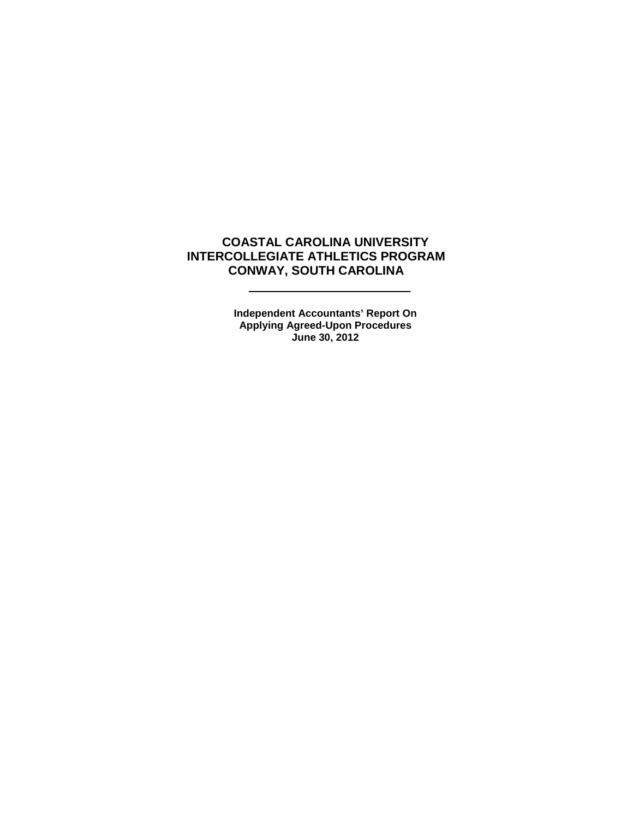# **COASTAL CAROLINA UNIVERSITY INTERCOLLEGIATE ATHLETICS PROGRAM CONWAY, SOUTH CAROLINA**

L.

**Independent Accountants' Report On Applying Agreed-Upon Procedures June 30, 2012**

 $\sim$   $\sim$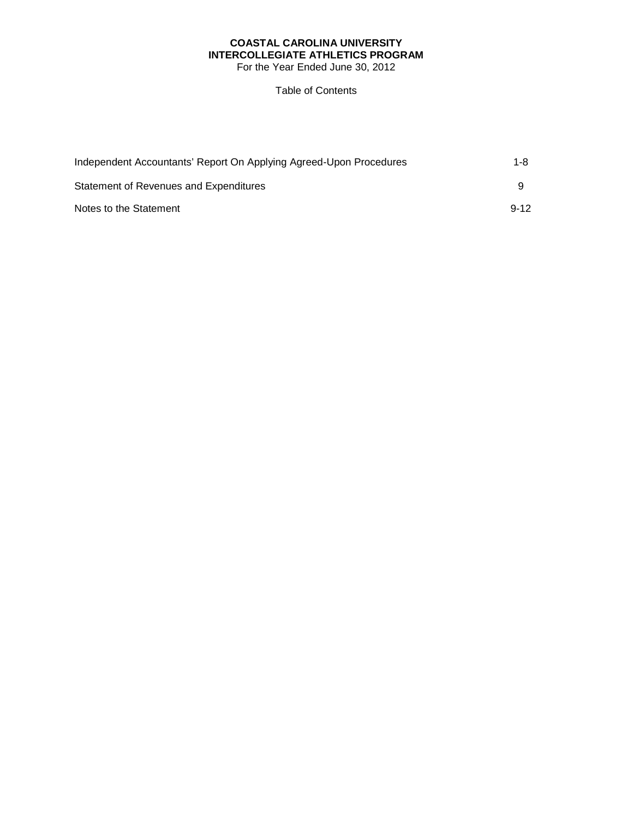# **COASTAL CAROLINA UNIVERSITY INTERCOLLEGIATE ATHLETICS PROGRAM**

For the Year Ended June 30, 2012

# Table of Contents

| Independent Accountants' Report On Applying Agreed-Upon Procedures | 1-8      |
|--------------------------------------------------------------------|----------|
| Statement of Revenues and Expenditures                             |          |
| Notes to the Statement                                             | $9 - 12$ |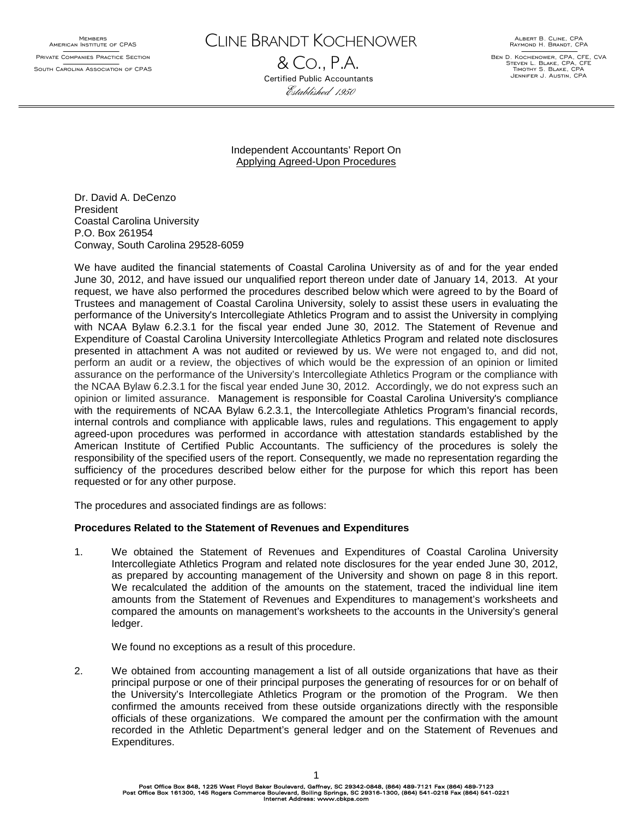MEMBERS<br>American Institute of CPAS Private Companies Practice Section South Carolina Association of CPAS CLINE BRANDT KOCHENOWER

& CO., P.A. Certified Public Accountants Established 1950

Albert B. Cline, CPA Raymond H. Brandt, CPA

Ben D. Kochenower, CPA, CFE, CVA Steven L. Blake, CPA, CFE Timothy S. Blake, CPA Jennifer J. Austin, CPA

Independent Accountants' Report On Applying Agreed-Upon Procedures

Dr. David A. DeCenzo President Coastal Carolina University P.O. Box 261954 Conway, South Carolina 29528-6059

We have audited the financial statements of Coastal Carolina University as of and for the year ended June 30, 2012, and have issued our unqualified report thereon under date of January 14, 2013. At your request, we have also performed the procedures described below which were agreed to by the Board of Trustees and management of Coastal Carolina University, solely to assist these users in evaluating the performance of the University's Intercollegiate Athletics Program and to assist the University in complying with NCAA Bylaw 6.2.3.1 for the fiscal year ended June 30, 2012. The Statement of Revenue and Expenditure of Coastal Carolina University Intercollegiate Athletics Program and related note disclosures presented in attachment A was not audited or reviewed by us. We were not engaged to, and did not, perform an audit or a review, the objectives of which would be the expression of an opinion or limited assurance on the performance of the University's Intercollegiate Athletics Program or the compliance with the NCAA Bylaw 6.2.3.1 for the fiscal year ended June 30, 2012. Accordingly, we do not express such an opinion or limited assurance. Management is responsible for Coastal Carolina University's compliance with the requirements of NCAA Bylaw 6.2.3.1, the Intercollegiate Athletics Program's financial records, internal controls and compliance with applicable laws, rules and regulations. This engagement to apply agreed-upon procedures was performed in accordance with attestation standards established by the American Institute of Certified Public Accountants. The sufficiency of the procedures is solely the responsibility of the specified users of the report. Consequently, we made no representation regarding the sufficiency of the procedures described below either for the purpose for which this report has been requested or for any other purpose.

The procedures and associated findings are as follows:

#### **Procedures Related to the Statement of Revenues and Expenditures**

1. We obtained the Statement of Revenues and Expenditures of Coastal Carolina University Intercollegiate Athletics Program and related note disclosures for the year ended June 30, 2012, as prepared by accounting management of the University and shown on page 8 in this report. We recalculated the addition of the amounts on the statement, traced the individual line item amounts from the Statement of Revenues and Expenditures to management's worksheets and compared the amounts on management's worksheets to the accounts in the University's general ledger.

We found no exceptions as a result of this procedure.

2. We obtained from accounting management a list of all outside organizations that have as their principal purpose or one of their principal purposes the generating of resources for or on behalf of the University's Intercollegiate Athletics Program or the promotion of the Program. We then confirmed the amounts received from these outside organizations directly with the responsible officials of these organizations. We compared the amount per the confirmation with the amount recorded in the Athletic Department's general ledger and on the Statement of Revenues and Expenditures.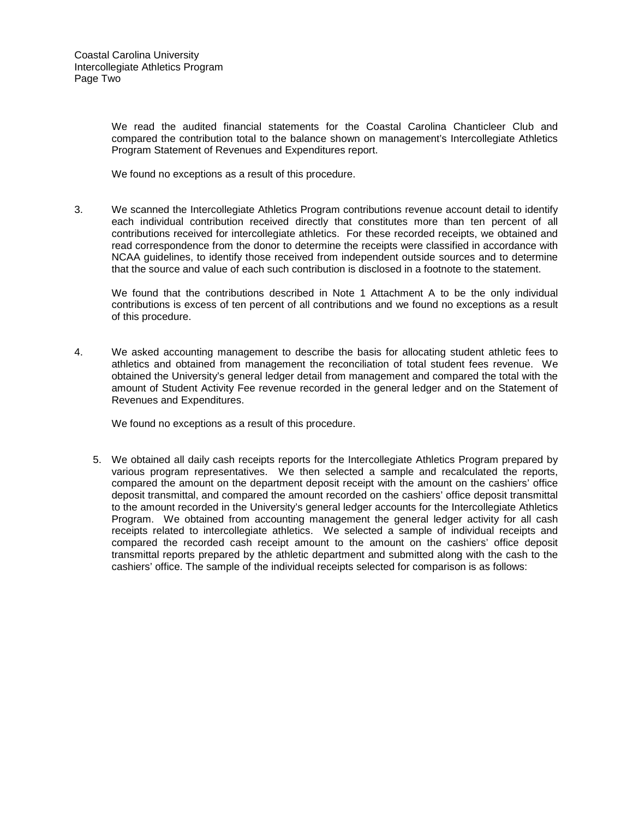We read the audited financial statements for the Coastal Carolina Chanticleer Club and compared the contribution total to the balance shown on management's Intercollegiate Athletics Program Statement of Revenues and Expenditures report.

We found no exceptions as a result of this procedure.

3. We scanned the Intercollegiate Athletics Program contributions revenue account detail to identify each individual contribution received directly that constitutes more than ten percent of all contributions received for intercollegiate athletics. For these recorded receipts, we obtained and read correspondence from the donor to determine the receipts were classified in accordance with NCAA guidelines, to identify those received from independent outside sources and to determine that the source and value of each such contribution is disclosed in a footnote to the statement.

We found that the contributions described in Note 1 Attachment A to be the only individual contributions is excess of ten percent of all contributions and we found no exceptions as a result of this procedure.

4. We asked accounting management to describe the basis for allocating student athletic fees to athletics and obtained from management the reconciliation of total student fees revenue. We obtained the University's general ledger detail from management and compared the total with the amount of Student Activity Fee revenue recorded in the general ledger and on the Statement of Revenues and Expenditures.

We found no exceptions as a result of this procedure.

5. We obtained all daily cash receipts reports for the Intercollegiate Athletics Program prepared by various program representatives. We then selected a sample and recalculated the reports, compared the amount on the department deposit receipt with the amount on the cashiers' office deposit transmittal, and compared the amount recorded on the cashiers' office deposit transmittal to the amount recorded in the University's general ledger accounts for the Intercollegiate Athletics Program. We obtained from accounting management the general ledger activity for all cash receipts related to intercollegiate athletics. We selected a sample of individual receipts and compared the recorded cash receipt amount to the amount on the cashiers' office deposit transmittal reports prepared by the athletic department and submitted along with the cash to the cashiers' office. The sample of the individual receipts selected for comparison is as follows: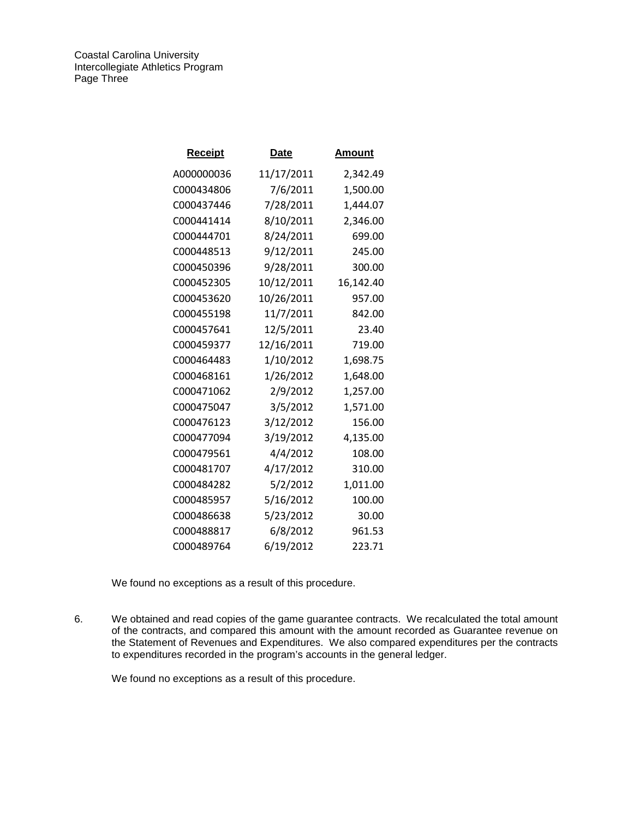Coastal Carolina University Intercollegiate Athletics Program Page Three

| Receipt    | Date       | Amount    |
|------------|------------|-----------|
| A000000036 | 11/17/2011 | 2,342.49  |
| C000434806 | 7/6/2011   | 1,500.00  |
| C000437446 | 7/28/2011  | 1,444.07  |
| C000441414 | 8/10/2011  | 2,346.00  |
| C000444701 | 8/24/2011  | 699.00    |
| C000448513 | 9/12/2011  | 245.00    |
| C000450396 | 9/28/2011  | 300.00    |
| C000452305 | 10/12/2011 | 16,142.40 |
| C000453620 | 10/26/2011 | 957.00    |
| C000455198 | 11/7/2011  | 842.00    |
| C000457641 | 12/5/2011  | 23.40     |
| C000459377 | 12/16/2011 | 719.00    |
| C000464483 | 1/10/2012  | 1,698.75  |
| C000468161 | 1/26/2012  | 1,648.00  |
| C000471062 | 2/9/2012   | 1,257.00  |
| C000475047 | 3/5/2012   | 1,571.00  |
| C000476123 | 3/12/2012  | 156.00    |
| C000477094 | 3/19/2012  | 4,135.00  |
| C000479561 | 4/4/2012   | 108.00    |
| C000481707 | 4/17/2012  | 310.00    |
| C000484282 | 5/2/2012   | 1,011.00  |
| C000485957 | 5/16/2012  | 100.00    |
| C000486638 | 5/23/2012  | 30.00     |
| C000488817 | 6/8/2012   | 961.53    |
| C000489764 | 6/19/2012  | 223.71    |

We found no exceptions as a result of this procedure.

6. We obtained and read copies of the game guarantee contracts. We recalculated the total amount of the contracts, and compared this amount with the amount recorded as Guarantee revenue on the Statement of Revenues and Expenditures. We also compared expenditures per the contracts to expenditures recorded in the program's accounts in the general ledger.

We found no exceptions as a result of this procedure.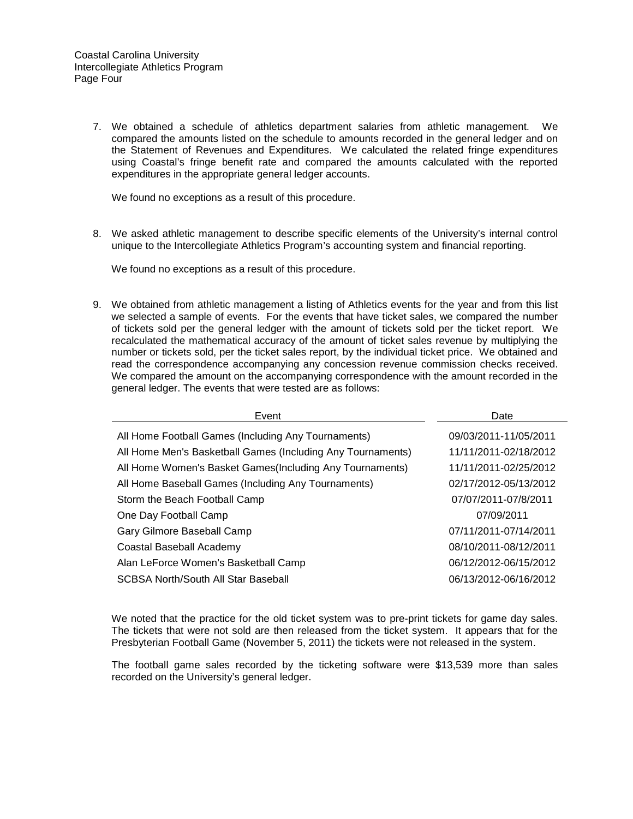7. We obtained a schedule of athletics department salaries from athletic management. We compared the amounts listed on the schedule to amounts recorded in the general ledger and on the Statement of Revenues and Expenditures. We calculated the related fringe expenditures using Coastal's fringe benefit rate and compared the amounts calculated with the reported expenditures in the appropriate general ledger accounts.

We found no exceptions as a result of this procedure.

8. We asked athletic management to describe specific elements of the University's internal control unique to the Intercollegiate Athletics Program's accounting system and financial reporting.

We found no exceptions as a result of this procedure.

9. We obtained from athletic management a listing of Athletics events for the year and from this list we selected a sample of events. For the events that have ticket sales, we compared the number of tickets sold per the general ledger with the amount of tickets sold per the ticket report. We recalculated the mathematical accuracy of the amount of ticket sales revenue by multiplying the number or tickets sold, per the ticket sales report, by the individual ticket price. We obtained and read the correspondence accompanying any concession revenue commission checks received. We compared the amount on the accompanying correspondence with the amount recorded in the general ledger. The events that were tested are as follows:

| Event                                                       | Date                  |
|-------------------------------------------------------------|-----------------------|
| All Home Football Games (Including Any Tournaments)         | 09/03/2011-11/05/2011 |
| All Home Men's Basketball Games (Including Any Tournaments) | 11/11/2011-02/18/2012 |
| All Home Women's Basket Games (Including Any Tournaments)   | 11/11/2011-02/25/2012 |
| All Home Baseball Games (Including Any Tournaments)         | 02/17/2012-05/13/2012 |
| Storm the Beach Football Camp                               | 07/07/2011-07/8/2011  |
| One Day Football Camp                                       | 07/09/2011            |
| Gary Gilmore Baseball Camp                                  | 07/11/2011-07/14/2011 |
| Coastal Baseball Academy                                    | 08/10/2011-08/12/2011 |
| Alan LeForce Women's Basketball Camp                        | 06/12/2012-06/15/2012 |
| SCBSA North/South All Star Baseball                         | 06/13/2012-06/16/2012 |

We noted that the practice for the old ticket system was to pre-print tickets for game day sales. The tickets that were not sold are then released from the ticket system. It appears that for the Presbyterian Football Game (November 5, 2011) the tickets were not released in the system.

The football game sales recorded by the ticketing software were \$13,539 more than sales recorded on the University's general ledger.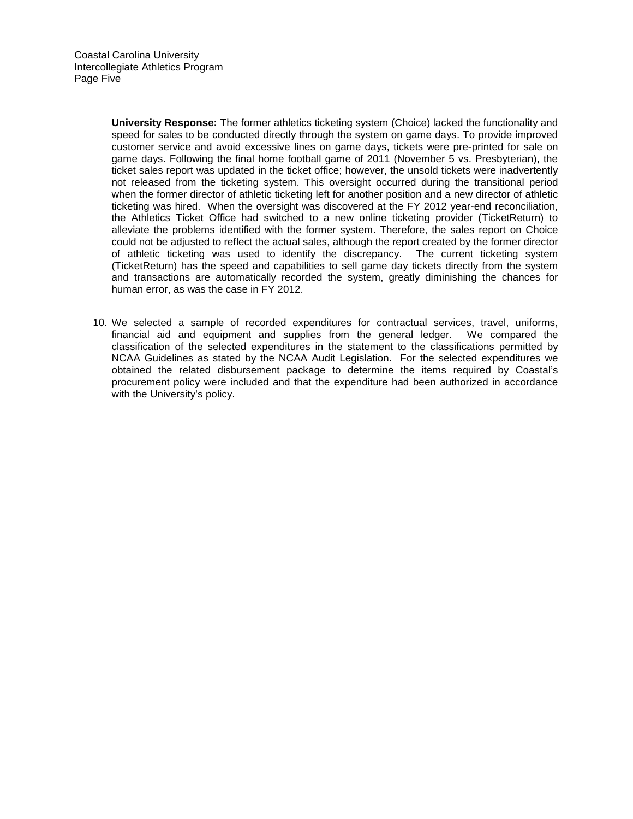**University Response:** The former athletics ticketing system (Choice) lacked the functionality and speed for sales to be conducted directly through the system on game days. To provide improved customer service and avoid excessive lines on game days, tickets were pre-printed for sale on game days. Following the final home football game of 2011 (November 5 vs. Presbyterian), the ticket sales report was updated in the ticket office; however, the unsold tickets were inadvertently not released from the ticketing system. This oversight occurred during the transitional period when the former director of athletic ticketing left for another position and a new director of athletic ticketing was hired. When the oversight was discovered at the FY 2012 year-end reconciliation, the Athletics Ticket Office had switched to a new online ticketing provider (TicketReturn) to alleviate the problems identified with the former system. Therefore, the sales report on Choice could not be adjusted to reflect the actual sales, although the report created by the former director of athletic ticketing was used to identify the discrepancy. The current ticketing system (TicketReturn) has the speed and capabilities to sell game day tickets directly from the system and transactions are automatically recorded the system, greatly diminishing the chances for human error, as was the case in FY 2012.

10. We selected a sample of recorded expenditures for contractual services, travel, uniforms, financial aid and equipment and supplies from the general ledger. We compared the classification of the selected expenditures in the statement to the classifications permitted by NCAA Guidelines as stated by the NCAA Audit Legislation. For the selected expenditures we obtained the related disbursement package to determine the items required by Coastal's procurement policy were included and that the expenditure had been authorized in accordance with the University's policy.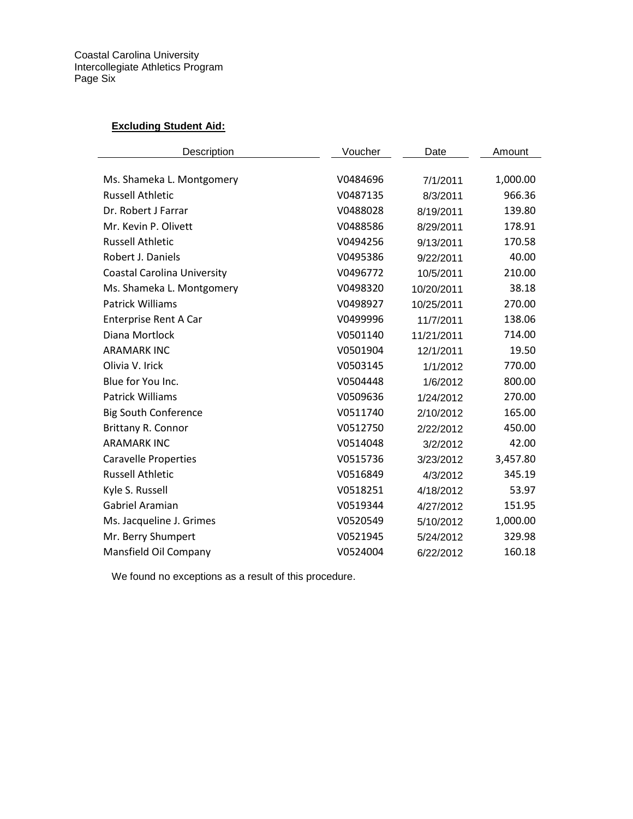Coastal Carolina University Intercollegiate Athletics Program Page Six

# **Excluding Student Aid:**

| Description                        | Voucher  | Date       | Amount   |
|------------------------------------|----------|------------|----------|
|                                    |          |            |          |
| Ms. Shameka L. Montgomery          | V0484696 | 7/1/2011   | 1,000.00 |
| <b>Russell Athletic</b>            | V0487135 | 8/3/2011   | 966.36   |
| Dr. Robert J Farrar                | V0488028 | 8/19/2011  | 139.80   |
| Mr. Kevin P. Olivett               | V0488586 | 8/29/2011  | 178.91   |
| <b>Russell Athletic</b>            | V0494256 | 9/13/2011  | 170.58   |
| Robert J. Daniels                  | V0495386 | 9/22/2011  | 40.00    |
| <b>Coastal Carolina University</b> | V0496772 | 10/5/2011  | 210.00   |
| Ms. Shameka L. Montgomery          | V0498320 | 10/20/2011 | 38.18    |
| <b>Patrick Williams</b>            | V0498927 | 10/25/2011 | 270.00   |
| <b>Enterprise Rent A Car</b>       | V0499996 | 11/7/2011  | 138.06   |
| Diana Mortlock                     | V0501140 | 11/21/2011 | 714.00   |
| <b>ARAMARK INC</b>                 | V0501904 | 12/1/2011  | 19.50    |
| Olivia V. Irick                    | V0503145 | 1/1/2012   | 770.00   |
| Blue for You Inc.                  | V0504448 | 1/6/2012   | 800.00   |
| <b>Patrick Williams</b>            | V0509636 | 1/24/2012  | 270.00   |
| <b>Big South Conference</b>        | V0511740 | 2/10/2012  | 165.00   |
| Brittany R. Connor                 | V0512750 | 2/22/2012  | 450.00   |
| <b>ARAMARK INC</b>                 | V0514048 | 3/2/2012   | 42.00    |
| <b>Caravelle Properties</b>        | V0515736 | 3/23/2012  | 3,457.80 |
| <b>Russell Athletic</b>            | V0516849 | 4/3/2012   | 345.19   |
| Kyle S. Russell                    | V0518251 | 4/18/2012  | 53.97    |
| Gabriel Aramian                    | V0519344 | 4/27/2012  | 151.95   |
| Ms. Jacqueline J. Grimes           | V0520549 | 5/10/2012  | 1,000.00 |
| Mr. Berry Shumpert                 | V0521945 | 5/24/2012  | 329.98   |
| Mansfield Oil Company              | V0524004 | 6/22/2012  | 160.18   |

We found no exceptions as a result of this procedure.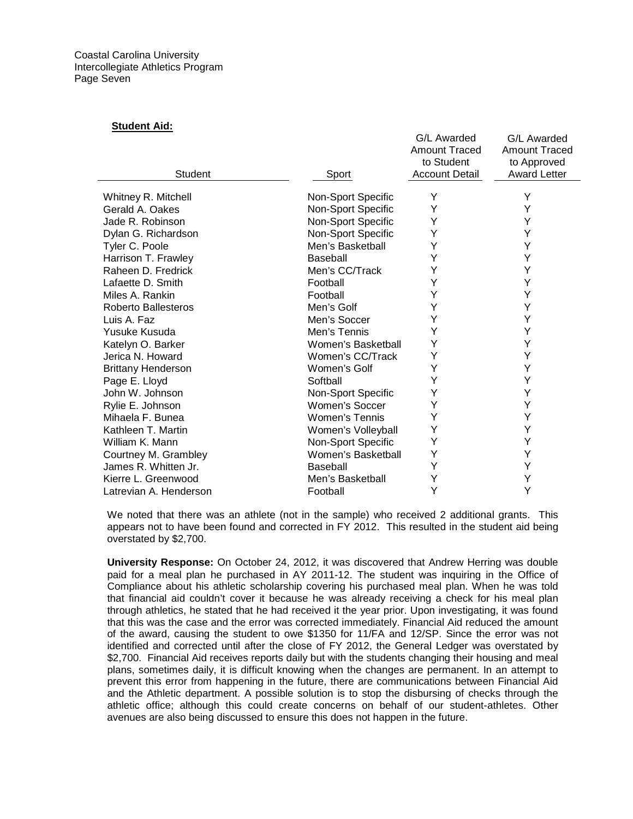#### **Student Aid:**

| Student                                | Sport                 | G/L Awarded<br><b>Amount Traced</b><br>to Student<br><b>Account Detail</b> | <b>G/L Awarded</b><br><b>Amount Traced</b><br>to Approved<br><b>Award Letter</b> |
|----------------------------------------|-----------------------|----------------------------------------------------------------------------|----------------------------------------------------------------------------------|
|                                        |                       |                                                                            |                                                                                  |
| Whitney R. Mitchell<br>Gerald A. Oakes | Non-Sport Specific    | Υ                                                                          | Υ<br>Y                                                                           |
|                                        | Non-Sport Specific    | Υ                                                                          |                                                                                  |
| Jade R. Robinson                       | Non-Sport Specific    | Υ                                                                          | Y                                                                                |
| Dylan G. Richardson                    | Non-Sport Specific    | Y                                                                          | Υ                                                                                |
| Tyler C. Poole                         | Men's Basketball      | Y                                                                          | Y                                                                                |
| Harrison T. Frawley                    | Baseball              | Υ                                                                          | Y                                                                                |
| Raheen D. Fredrick                     | Men's CC/Track        | Y                                                                          | Y                                                                                |
| Lafaette D. Smith                      | Football              | Y                                                                          | Y                                                                                |
| Miles A. Rankin                        | Football              | Y                                                                          | Y                                                                                |
| <b>Roberto Ballesteros</b>             | Men's Golf            | Y                                                                          | Y                                                                                |
| Luis A. Faz                            | Men's Soccer          | Y                                                                          | Y                                                                                |
| Yusuke Kusuda                          | Men's Tennis          | Y                                                                          | Υ                                                                                |
| Katelyn O. Barker                      | Women's Basketball    | Υ                                                                          | Υ                                                                                |
| Jerica N. Howard                       | Women's CC/Track      | Υ                                                                          | Υ                                                                                |
| <b>Brittany Henderson</b>              | Women's Golf          | Y                                                                          | Y                                                                                |
| Page E. Lloyd                          | Softball              | Y                                                                          | Y                                                                                |
| John W. Johnson                        | Non-Sport Specific    | Y                                                                          | Υ                                                                                |
| Rylie E. Johnson                       | Women's Soccer        | Υ                                                                          | Y                                                                                |
| Mihaela F. Bunea                       | <b>Women's Tennis</b> | Y                                                                          | Υ                                                                                |
| Kathleen T. Martin                     | Women's Volleyball    | Υ                                                                          | Y                                                                                |
| William K. Mann                        | Non-Sport Specific    | Y                                                                          | Y                                                                                |
| Courtney M. Grambley                   | Women's Basketball    | Y                                                                          | Υ                                                                                |
| James R. Whitten Jr.                   | Baseball              | Y                                                                          | Υ                                                                                |
| Kierre L. Greenwood                    | Men's Basketball      | Y                                                                          | Υ                                                                                |
| Latrevian A. Henderson                 | Football              | Y                                                                          | Υ                                                                                |
|                                        |                       |                                                                            |                                                                                  |

G/L Awarded

G/L Awarded

We noted that there was an athlete (not in the sample) who received 2 additional grants. This appears not to have been found and corrected in FY 2012. This resulted in the student aid being overstated by \$2,700.

**University Response:** On October 24, 2012, it was discovered that Andrew Herring was double paid for a meal plan he purchased in AY 2011-12. The student was inquiring in the Office of Compliance about his athletic scholarship covering his purchased meal plan. When he was told that financial aid couldn't cover it because he was already receiving a check for his meal plan through athletics, he stated that he had received it the year prior. Upon investigating, it was found that this was the case and the error was corrected immediately. Financial Aid reduced the amount of the award, causing the student to owe \$1350 for 11/FA and 12/SP. Since the error was not identified and corrected until after the close of FY 2012, the General Ledger was overstated by \$2,700. Financial Aid receives reports daily but with the students changing their housing and meal plans, sometimes daily, it is difficult knowing when the changes are permanent. In an attempt to prevent this error from happening in the future, there are communications between Financial Aid and the Athletic department. A possible solution is to stop the disbursing of checks through the athletic office; although this could create concerns on behalf of our student-athletes. Other avenues are also being discussed to ensure this does not happen in the future.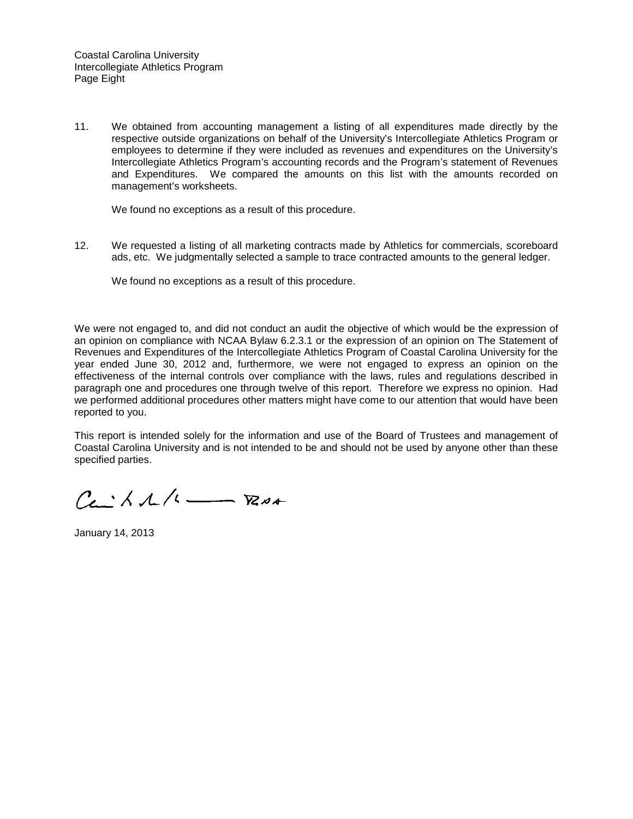11. We obtained from accounting management a listing of all expenditures made directly by the respective outside organizations on behalf of the University's Intercollegiate Athletics Program or employees to determine if they were included as revenues and expenditures on the University's Intercollegiate Athletics Program's accounting records and the Program's statement of Revenues and Expenditures. We compared the amounts on this list with the amounts recorded on management's worksheets.

We found no exceptions as a result of this procedure.

12. We requested a listing of all marketing contracts made by Athletics for commercials, scoreboard ads, etc. We judgmentally selected a sample to trace contracted amounts to the general ledger.

We found no exceptions as a result of this procedure.

We were not engaged to, and did not conduct an audit the objective of which would be the expression of an opinion on compliance with NCAA Bylaw 6.2.3.1 or the expression of an opinion on The Statement of Revenues and Expenditures of the Intercollegiate Athletics Program of Coastal Carolina University for the year ended June 30, 2012 and, furthermore, we were not engaged to express an opinion on the effectiveness of the internal controls over compliance with the laws, rules and regulations described in paragraph one and procedures one through twelve of this report. Therefore we express no opinion. Had we performed additional procedures other matters might have come to our attention that would have been reported to you.

This report is intended solely for the information and use of the Board of Trustees and management of Coastal Carolina University and is not intended to be and should not be used by anyone other than these specified parties.

 $C_{\epsilon}$   $\wedge$   $\wedge$   $\wedge$   $\cdots$   $\nabla$ 

January 14, 2013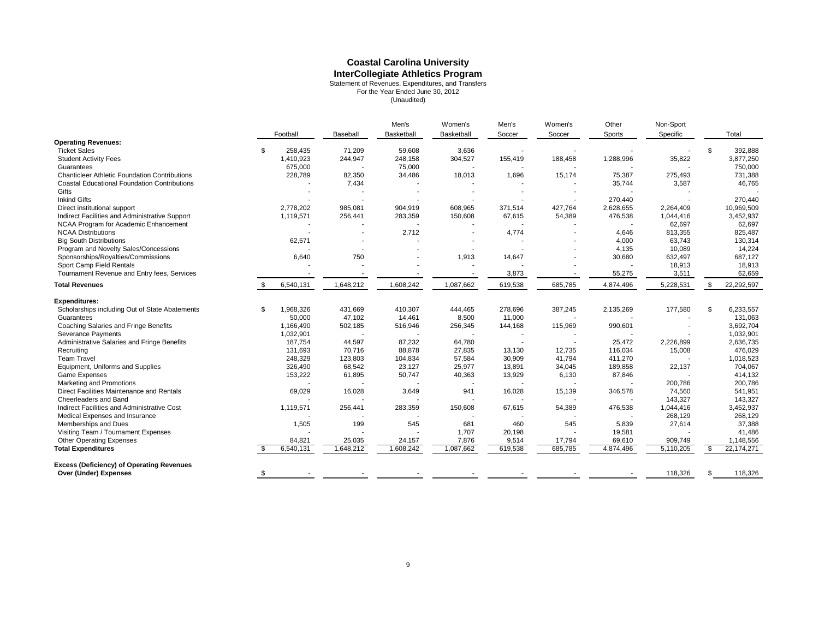# **Coastal Carolina University**

**InterCollegiate Athletics Program**<br>
Statement of Revenues, Expenditures, and Transfers<br>
For the Year Ended June 30, 2012<br>
(Unaudited)

|                                                      |                 |           | Men's      | Women's    | Men's   | Women's | Other     | Non-Sport |    |              |
|------------------------------------------------------|-----------------|-----------|------------|------------|---------|---------|-----------|-----------|----|--------------|
|                                                      | Football        | Baseball  | Basketball | Basketball | Soccer  | Soccer  | Sports    | Specific  |    | Total        |
| <b>Operating Revenues:</b>                           |                 |           |            |            |         |         |           |           |    |              |
| <b>Ticket Sales</b>                                  | \$<br>258,435   | 71,209    | 59,608     | 3,636      |         |         |           |           | \$ | 392,888      |
| <b>Student Activity Fees</b>                         | 1,410,923       | 244,947   | 248,158    | 304,527    | 155,419 | 188,458 | 1,288,996 | 35,822    |    | 3,877,250    |
| Guarantees                                           | 675,000         |           | 75,000     |            |         |         |           |           |    | 750,000      |
| <b>Chanticleer Athletic Foundation Contributions</b> | 228,789         | 82,350    | 34,486     | 18,013     | 1,696   | 15,174  | 75,387    | 275,493   |    | 731,388      |
| <b>Coastal Educational Foundation Contributions</b>  |                 | 7,434     |            |            |         |         | 35,744    | 3,587     |    | 46,765       |
| Gifts                                                |                 |           |            |            |         |         |           |           |    |              |
| <b>Inkind Gifts</b>                                  |                 |           |            |            |         |         | 270,440   |           |    | 270,440      |
| Direct institutional support                         | 2,778,202       | 985,081   | 904,919    | 608,965    | 371,514 | 427,764 | 2,628,655 | 2,264,409 |    | 10,969,509   |
| Indirect Facilities and Administrative Support       | 1,119,571       | 256,441   | 283,359    | 150,608    | 67,615  | 54,389  | 476,538   | 1,044,416 |    | 3,452,937    |
| NCAA Program for Academic Enhancement                |                 |           |            |            |         |         |           | 62,697    |    | 62,697       |
| <b>NCAA Distributions</b>                            |                 |           | 2,712      |            | 4,774   |         | 4,646     | 813,355   |    | 825,487      |
| <b>Big South Distributions</b>                       | 62,571          |           |            |            |         |         | 4,000     | 63,743    |    | 130,314      |
| Program and Novelty Sales/Concessions                |                 |           |            |            |         |         | 4,135     | 10,089    |    | 14.224       |
| Sponsorships/Royalties/Commissions                   | 6,640           | 750       |            | 1,913      | 14,647  |         | 30,680    | 632,497   |    | 687,127      |
| Sport Camp Field Rentals                             |                 |           |            |            |         |         |           | 18,913    |    | 18,913       |
| Tournament Revenue and Entry fees, Services          |                 |           |            |            | 3,873   |         | 55,275    | 3,511     |    | 62,659       |
| <b>Total Revenues</b>                                | \$<br>6,540,131 | 1,648,212 | 1,608,242  | 1,087,662  | 619,538 | 685,785 | 4,874,496 | 5,228,531 | \$ | 22,292,597   |
| <b>Expenditures:</b>                                 |                 |           |            |            |         |         |           |           |    |              |
| Scholarships including Out of State Abatements       | \$<br>1,968,326 | 431,669   | 410,307    | 444,465    | 278,696 | 387,245 | 2,135,269 | 177,580   | \$ | 6.233.557    |
| Guarantees                                           | 50,000          | 47,102    | 14,461     | 8,500      | 11,000  |         |           |           |    | 131,063      |
| Coaching Salaries and Fringe Benefits                | 1,166,490       | 502,185   | 516,946    | 256,345    | 144,168 | 115,969 | 990,601   |           |    | 3,692,704    |
| <b>Severance Payments</b>                            | 1,032,901       |           |            |            |         |         |           |           |    | 1,032,901    |
| Administrative Salaries and Fringe Benefits          | 187,754         | 44,597    | 87,232     | 64,780     |         |         | 25,472    | 2,226,899 |    | 2,636,735    |
| Recruiting                                           | 131,693         | 70,716    | 88,878     | 27,835     | 13,130  | 12,735  | 116,034   | 15,008    |    | 476,029      |
| <b>Team Travel</b>                                   | 248,329         | 123,803   | 104,834    | 57,584     | 30,909  | 41,794  | 411,270   |           |    | 1,018,523    |
| Equipment, Uniforms and Supplies                     | 326,490         | 68,542    | 23,127     | 25,977     | 13,891  | 34,045  | 189,858   | 22,137    |    | 704.067      |
| Game Expenses                                        | 153,222         | 61,895    | 50,747     | 40,363     | 13,929  | 6,130   | 87,846    |           |    | 414,132      |
| Marketing and Promotions                             |                 |           |            |            |         |         |           | 200,786   |    | 200,786      |
| Direct Facilities Maintenance and Rentals            | 69,029          | 16,028    | 3,649      | 941        | 16,028  | 15,139  | 346,578   | 74,560    |    | 541,951      |
| Cheerleaders and Band                                |                 |           |            |            |         |         |           | 143,327   |    | 143,327      |
| Indirect Facilities and Administrative Cost          | 1,119,571       | 256,441   | 283,359    | 150,608    | 67,615  | 54,389  | 476,538   | 1,044,416 |    | 3,452,937    |
| Medical Expenses and Insurance                       |                 |           |            |            |         |         |           | 268,129   |    | 268,129      |
| Memberships and Dues                                 | 1,505           | 199       | 545        | 681        | 460     | 545     | 5,839     | 27,614    |    | 37,388       |
| Visiting Team / Tournament Expenses                  |                 |           |            | 1,707      | 20,198  |         | 19,581    |           |    | 41,486       |
| <b>Other Operating Expenses</b>                      | 84,821          | 25,035    | 24,157     | 7,876      | 9,514   | 17,794  | 69,610    | 909,749   |    | 1,148,556    |
| <b>Total Expenditures</b>                            | 6,540,131       | 1,648,212 | 1,608,242  | 1,087,662  | 619,538 | 685,785 | 4,874,496 | 5,110,205 | S. | 22, 174, 271 |
| <b>Excess (Deficiency) of Operating Revenues</b>     |                 |           |            |            |         |         |           |           |    |              |
| Over (Under) Expenses                                | \$              |           |            |            |         |         |           | 118,326   | \$ | 118,326      |
|                                                      |                 |           |            |            |         |         |           |           |    |              |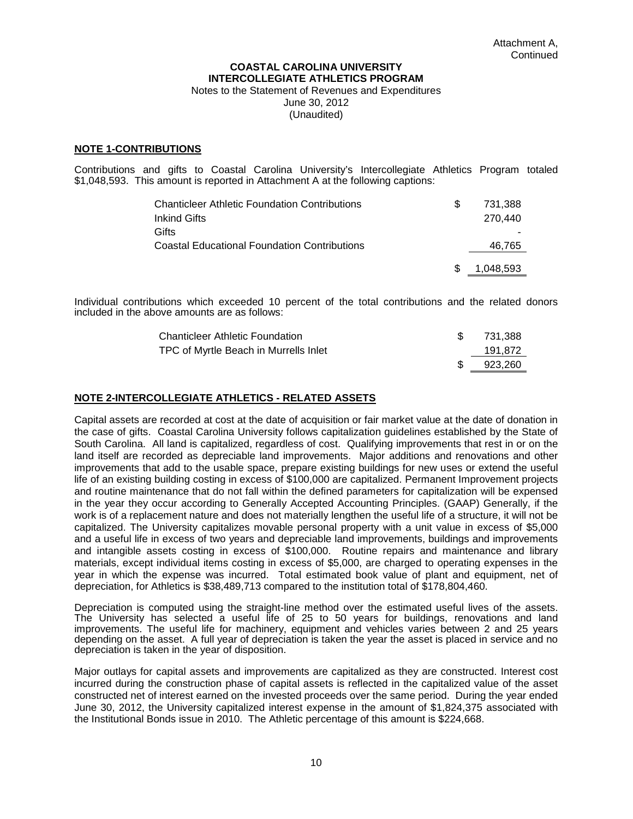#### **COASTAL CAROLINA UNIVERSITY INTERCOLLEGIATE ATHLETICS PROGRAM**  Notes to the Statement of Revenues and Expenditures

June 30, 2012 (Unaudited)

#### **NOTE 1-CONTRIBUTIONS**

Contributions and gifts to Coastal Carolina University's Intercollegiate Athletics Program totaled \$1,048,593. This amount is reported in Attachment A at the following captions:

| <b>Chanticleer Athletic Foundation Contributions</b> |    | 731.388   |
|------------------------------------------------------|----|-----------|
| Inkind Gifts                                         |    | 270.440   |
| Gifts                                                |    |           |
| <b>Coastal Educational Foundation Contributions</b>  |    | 46,765    |
|                                                      |    |           |
|                                                      | S. | 1.048.593 |

Individual contributions which exceeded 10 percent of the total contributions and the related donors included in the above amounts are as follows:

| <b>Chanticleer Athletic Foundation</b> | 731.388 |
|----------------------------------------|---------|
| TPC of Myrtle Beach in Murrells Inlet  | 191.872 |
|                                        | 923.260 |

## **NOTE 2-INTERCOLLEGIATE ATHLETICS - RELATED ASSETS**

Capital assets are recorded at cost at the date of acquisition or fair market value at the date of donation in the case of gifts. Coastal Carolina University follows capitalization guidelines established by the State of South Carolina. All land is capitalized, regardless of cost. Qualifying improvements that rest in or on the land itself are recorded as depreciable land improvements. Major additions and renovations and other improvements that add to the usable space, prepare existing buildings for new uses or extend the useful life of an existing building costing in excess of \$100,000 are capitalized. Permanent Improvement projects and routine maintenance that do not fall within the defined parameters for capitalization will be expensed in the year they occur according to Generally Accepted Accounting Principles. (GAAP) Generally, if the work is of a replacement nature and does not materially lengthen the useful life of a structure, it will not be capitalized. The University capitalizes movable personal property with a unit value in excess of \$5,000 and a useful life in excess of two years and depreciable land improvements, buildings and improvements and intangible assets costing in excess of \$100,000. Routine repairs and maintenance and library materials, except individual items costing in excess of \$5,000, are charged to operating expenses in the year in which the expense was incurred. Total estimated book value of plant and equipment, net of depreciation, for Athletics is \$38,489,713 compared to the institution total of \$178,804,460.

Depreciation is computed using the straight-line method over the estimated useful lives of the assets. The University has selected a useful life of 25 to 50 years for buildings, renovations and land improvements. The useful life for machinery, equipment and vehicles varies between 2 and 25 years depending on the asset. A full year of depreciation is taken the year the asset is placed in service and no depreciation is taken in the year of disposition.

Major outlays for capital assets and improvements are capitalized as they are constructed. Interest cost incurred during the construction phase of capital assets is reflected in the capitalized value of the asset constructed net of interest earned on the invested proceeds over the same period. During the year ended June 30, 2012, the University capitalized interest expense in the amount of \$1,824,375 associated with the Institutional Bonds issue in 2010. The Athletic percentage of this amount is \$224,668.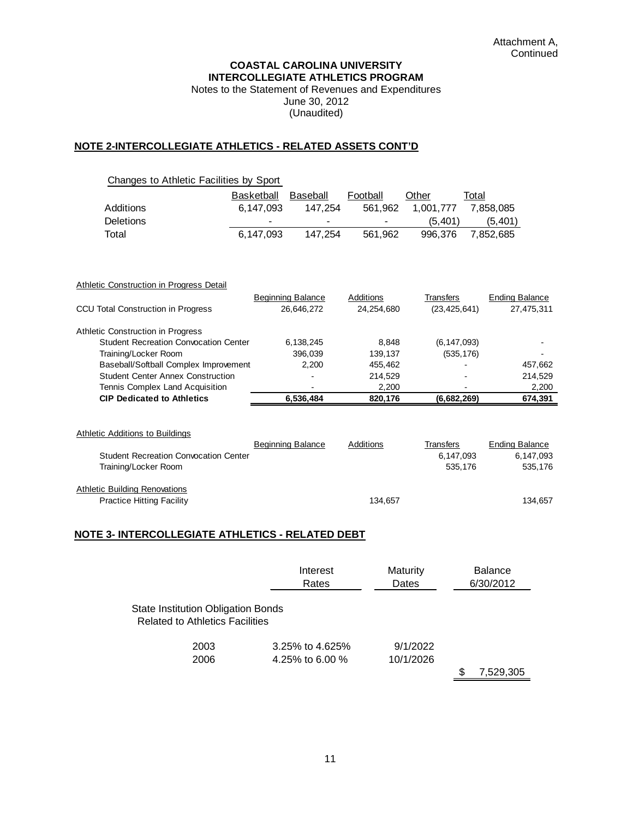#### **COASTAL CAROLINA UNIVERSITY INTERCOLLEGIATE ATHLETICS PROGRAM**

Notes to the Statement of Revenues and Expenditures June 30, 2012 (Unaudited)

#### **NOTE 2-INTERCOLLEGIATE ATHLETICS - RELATED ASSETS CONT'D**

|                                                 | <b>Basketball</b> | Baseball                               | Football                | Other                       | Total                               |
|-------------------------------------------------|-------------------|----------------------------------------|-------------------------|-----------------------------|-------------------------------------|
| <b>Additions</b>                                | 6,147,093         | 147,254                                | 561,962                 | 1,001,777                   | 7,858,085                           |
| <b>Deletions</b>                                |                   |                                        |                         | (5, 401)                    | (5,401)                             |
| Total                                           | 6,147,093         | 147,254                                | 561,962                 | 996,376                     | 7,852,685                           |
|                                                 |                   |                                        |                         |                             |                                     |
| <b>Athletic Construction in Progress Detail</b> |                   |                                        |                         |                             |                                     |
| <b>CCU Total Construction in Progress</b>       |                   | <b>Beginning Balance</b><br>26,646,272 | Additions<br>24,254,680 | Transfers<br>(23, 425, 641) | <b>Ending Balance</b><br>27,475,311 |
| Athletic Construction in Progress               |                   |                                        |                         |                             |                                     |
| <b>Student Recreation Convocation Center</b>    |                   | 6,138,245                              | 8,848                   | (6, 147, 093)               |                                     |
| Training/Locker Room                            |                   | 396,039                                | 139,137                 | (535, 176)                  |                                     |
| Baseball/Softball Complex Improvement           |                   | 2,200                                  | 455,462                 |                             | 457,662                             |
| <b>Student Center Annex Construction</b>        |                   |                                        | 214,529                 |                             | 214,529                             |
| Tennis Complex Land Acquisition                 |                   |                                        | 2,200                   |                             | 2,200                               |
| <b>CIP Dedicated to Athletics</b>               |                   | 6,536,484                              | 820,176                 | (6,682,269)                 | 674,391                             |

|                                              | <b>Beginning Balance</b> | Additions | Transfers | Ending Balance |
|----------------------------------------------|--------------------------|-----------|-----------|----------------|
| <b>Student Recreation Convocation Center</b> |                          |           | 6.147.093 | 6.147.093      |
| Training/Locker Room                         |                          |           | 535.176   | 535.176        |
| <b>Athletic Building Renovations</b>         |                          |           |           |                |
| <b>Practice Hitting Facility</b>             |                          | 134.657   |           | 134.657        |

## **NOTE 3- INTERCOLLEGIATE ATHLETICS - RELATED DEBT**

|                                                                                     | Interest<br>Rates                  | Maturity<br>Dates     | <b>Balance</b><br>6/30/2012 |
|-------------------------------------------------------------------------------------|------------------------------------|-----------------------|-----------------------------|
| <b>State Institution Obligation Bonds</b><br><b>Related to Athletics Facilities</b> |                                    |                       |                             |
| 2003<br>2006                                                                        | 3.25% to 4.625%<br>4.25% to 6.00 % | 9/1/2022<br>10/1/2026 |                             |
|                                                                                     |                                    |                       | 7,529,305                   |